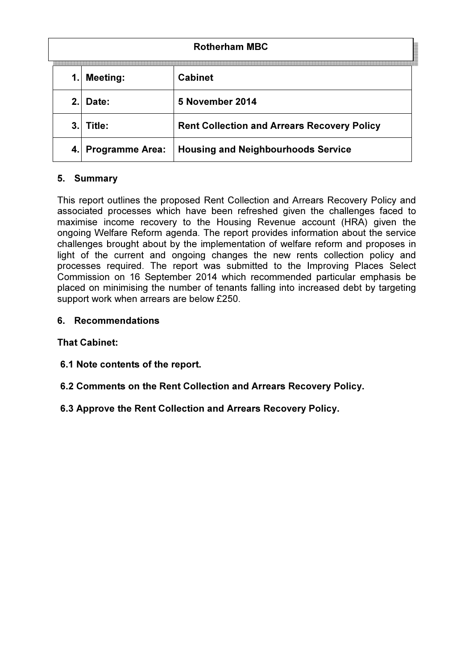| <b>Rotherham MBC</b> |                        |                                                    |  |  |
|----------------------|------------------------|----------------------------------------------------|--|--|
| 1.                   | <b>Meeting:</b>        | <b>Cabinet</b>                                     |  |  |
| 2.                   | Date:                  | 5 November 2014                                    |  |  |
| 3.                   | Title:                 | <b>Rent Collection and Arrears Recovery Policy</b> |  |  |
| 4.                   | <b>Programme Area:</b> | <b>Housing and Neighbourhoods Service</b>          |  |  |

# 5. Summary

This report outlines the proposed Rent Collection and Arrears Recovery Policy and associated processes which have been refreshed given the challenges faced to maximise income recovery to the Housing Revenue account (HRA) given the ongoing Welfare Reform agenda. The report provides information about the service challenges brought about by the implementation of welfare reform and proposes in light of the current and ongoing changes the new rents collection policy and processes required. The report was submitted to the Improving Places Select Commission on 16 September 2014 which recommended particular emphasis be placed on minimising the number of tenants falling into increased debt by targeting support work when arrears are below £250.

## 6. Recommendations

# That Cabinet:

- 6.1 Note contents of the report.
- 6.2 Comments on the Rent Collection and Arrears Recovery Policy.
- 6.3 Approve the Rent Collection and Arrears Recovery Policy.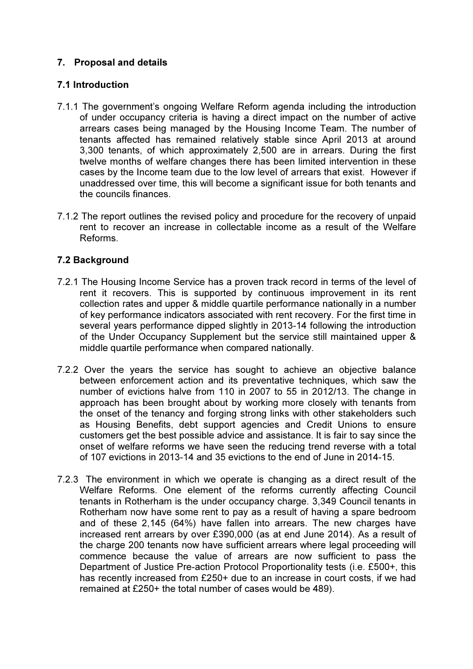# 7. Proposal and details

## 7.1 Introduction

- 7.1.1 The government's ongoing Welfare Reform agenda including the introduction of under occupancy criteria is having a direct impact on the number of active arrears cases being managed by the Housing Income Team. The number of tenants affected has remained relatively stable since April 2013 at around 3,300 tenants, of which approximately 2,500 are in arrears. During the first twelve months of welfare changes there has been limited intervention in these cases by the Income team due to the low level of arrears that exist. However if unaddressed over time, this will become a significant issue for both tenants and the councils finances.
- 7.1.2 The report outlines the revised policy and procedure for the recovery of unpaid rent to recover an increase in collectable income as a result of the Welfare Reforms.

# 7.2 Background

- 7.2.1 The Housing Income Service has a proven track record in terms of the level of rent it recovers. This is supported by continuous improvement in its rent collection rates and upper & middle quartile performance nationally in a number of key performance indicators associated with rent recovery. For the first time in several years performance dipped slightly in 2013-14 following the introduction of the Under Occupancy Supplement but the service still maintained upper & middle quartile performance when compared nationally.
- 7.2.2 Over the years the service has sought to achieve an objective balance between enforcement action and its preventative techniques, which saw the number of evictions halve from 110 in 2007 to 55 in 2012/13. The change in approach has been brought about by working more closely with tenants from the onset of the tenancy and forging strong links with other stakeholders such as Housing Benefits, debt support agencies and Credit Unions to ensure customers get the best possible advice and assistance. It is fair to say since the onset of welfare reforms we have seen the reducing trend reverse with a total of 107 evictions in 2013-14 and 35 evictions to the end of June in 2014-15.
- 7.2.3 The environment in which we operate is changing as a direct result of the Welfare Reforms. One element of the reforms currently affecting Council tenants in Rotherham is the under occupancy charge. 3,349 Council tenants in Rotherham now have some rent to pay as a result of having a spare bedroom and of these 2,145 (64%) have fallen into arrears. The new charges have increased rent arrears by over £390,000 (as at end June 2014). As a result of the charge 200 tenants now have sufficient arrears where legal proceeding will commence because the value of arrears are now sufficient to pass the Department of Justice Pre-action Protocol Proportionality tests (i.e. £500+, this has recently increased from £250+ due to an increase in court costs, if we had remained at £250+ the total number of cases would be 489).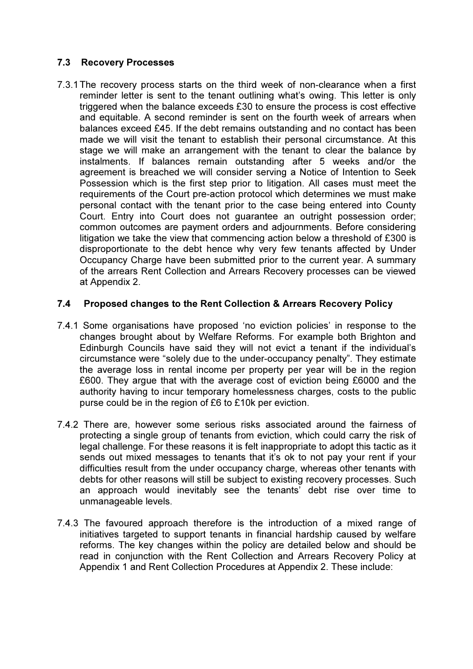## 7.3 Recovery Processes

7.3.1 The recovery process starts on the third week of non-clearance when a first reminder letter is sent to the tenant outlining what's owing. This letter is only triggered when the balance exceeds £30 to ensure the process is cost effective and equitable. A second reminder is sent on the fourth week of arrears when balances exceed £45. If the debt remains outstanding and no contact has been made we will visit the tenant to establish their personal circumstance. At this stage we will make an arrangement with the tenant to clear the balance by instalments. If balances remain outstanding after 5 weeks and/or the agreement is breached we will consider serving a Notice of Intention to Seek Possession which is the first step prior to litigation. All cases must meet the requirements of the Court pre-action protocol which determines we must make personal contact with the tenant prior to the case being entered into County Court. Entry into Court does not guarantee an outright possession order; common outcomes are payment orders and adjournments. Before considering litigation we take the view that commencing action below a threshold of £300 is disproportionate to the debt hence why very few tenants affected by Under Occupancy Charge have been submitted prior to the current year. A summary of the arrears Rent Collection and Arrears Recovery processes can be viewed at Appendix 2.

## 7.4 Proposed changes to the Rent Collection & Arrears Recovery Policy

- 7.4.1 Some organisations have proposed 'no eviction policies' in response to the changes brought about by Welfare Reforms. For example both Brighton and Edinburgh Councils have said they will not evict a tenant if the individual's circumstance were "solely due to the under-occupancy penalty". They estimate the average loss in rental income per property per year will be in the region £600. They argue that with the average cost of eviction being £6000 and the authority having to incur temporary homelessness charges, costs to the public purse could be in the region of £6 to £10k per eviction.
- 7.4.2 There are, however some serious risks associated around the fairness of protecting a single group of tenants from eviction, which could carry the risk of legal challenge. For these reasons it is felt inappropriate to adopt this tactic as it sends out mixed messages to tenants that it's ok to not pay your rent if your difficulties result from the under occupancy charge, whereas other tenants with debts for other reasons will still be subject to existing recovery processes. Such an approach would inevitably see the tenants' debt rise over time to unmanageable levels.
- 7.4.3 The favoured approach therefore is the introduction of a mixed range of initiatives targeted to support tenants in financial hardship caused by welfare reforms. The key changes within the policy are detailed below and should be read in conjunction with the Rent Collection and Arrears Recovery Policy at Appendix 1 and Rent Collection Procedures at Appendix 2. These include: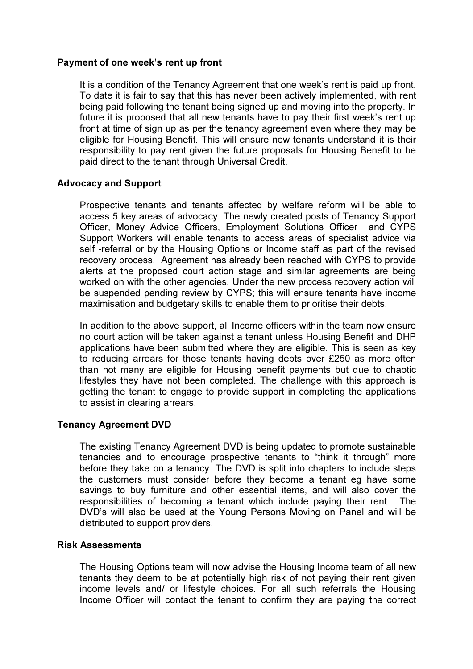### Payment of one week's rent up front

It is a condition of the Tenancy Agreement that one week's rent is paid up front. To date it is fair to say that this has never been actively implemented, with rent being paid following the tenant being signed up and moving into the property. In future it is proposed that all new tenants have to pay their first week's rent up front at time of sign up as per the tenancy agreement even where they may be eligible for Housing Benefit. This will ensure new tenants understand it is their responsibility to pay rent given the future proposals for Housing Benefit to be paid direct to the tenant through Universal Credit.

## Advocacy and Support

Prospective tenants and tenants affected by welfare reform will be able to access 5 key areas of advocacy. The newly created posts of Tenancy Support Officer, Money Advice Officers, Employment Solutions Officer and CYPS Support Workers will enable tenants to access areas of specialist advice via self -referral or by the Housing Options or Income staff as part of the revised recovery process. Agreement has already been reached with CYPS to provide alerts at the proposed court action stage and similar agreements are being worked on with the other agencies. Under the new process recovery action will be suspended pending review by CYPS; this will ensure tenants have income maximisation and budgetary skills to enable them to prioritise their debts.

In addition to the above support, all Income officers within the team now ensure no court action will be taken against a tenant unless Housing Benefit and DHP applications have been submitted where they are eligible. This is seen as key to reducing arrears for those tenants having debts over £250 as more often than not many are eligible for Housing benefit payments but due to chaotic lifestyles they have not been completed. The challenge with this approach is getting the tenant to engage to provide support in completing the applications to assist in clearing arrears.

## Tenancy Agreement DVD

The existing Tenancy Agreement DVD is being updated to promote sustainable tenancies and to encourage prospective tenants to "think it through" more before they take on a tenancy. The DVD is split into chapters to include steps the customers must consider before they become a tenant eg have some savings to buy furniture and other essential items, and will also cover the responsibilities of becoming a tenant which include paying their rent. The DVD's will also be used at the Young Persons Moving on Panel and will be distributed to support providers.

#### Risk Assessments

The Housing Options team will now advise the Housing Income team of all new tenants they deem to be at potentially high risk of not paying their rent given income levels and/ or lifestyle choices. For all such referrals the Housing Income Officer will contact the tenant to confirm they are paying the correct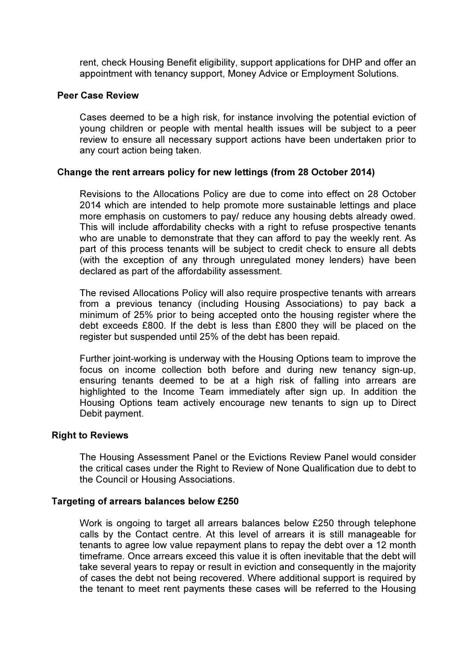rent, check Housing Benefit eligibility, support applications for DHP and offer an appointment with tenancy support, Money Advice or Employment Solutions.

### Peer Case Review

Cases deemed to be a high risk, for instance involving the potential eviction of young children or people with mental health issues will be subject to a peer review to ensure all necessary support actions have been undertaken prior to any court action being taken.

## Change the rent arrears policy for new lettings (from 28 October 2014)

Revisions to the Allocations Policy are due to come into effect on 28 October 2014 which are intended to help promote more sustainable lettings and place more emphasis on customers to pay/ reduce any housing debts already owed. This will include affordability checks with a right to refuse prospective tenants who are unable to demonstrate that they can afford to pay the weekly rent. As part of this process tenants will be subject to credit check to ensure all debts (with the exception of any through unregulated money lenders) have been declared as part of the affordability assessment.

The revised Allocations Policy will also require prospective tenants with arrears from a previous tenancy (including Housing Associations) to pay back a minimum of 25% prior to being accepted onto the housing register where the debt exceeds £800. If the debt is less than £800 they will be placed on the register but suspended until 25% of the debt has been repaid.

Further joint-working is underway with the Housing Options team to improve the focus on income collection both before and during new tenancy sign-up, ensuring tenants deemed to be at a high risk of falling into arrears are highlighted to the Income Team immediately after sign up. In addition the Housing Options team actively encourage new tenants to sign up to Direct Debit payment.

#### Right to Reviews

The Housing Assessment Panel or the Evictions Review Panel would consider the critical cases under the Right to Review of None Qualification due to debt to the Council or Housing Associations.

#### Targeting of arrears balances below £250

 Work is ongoing to target all arrears balances below £250 through telephone calls by the Contact centre. At this level of arrears it is still manageable for tenants to agree low value repayment plans to repay the debt over a 12 month timeframe. Once arrears exceed this value it is often inevitable that the debt will take several years to repay or result in eviction and consequently in the majority of cases the debt not being recovered. Where additional support is required by the tenant to meet rent payments these cases will be referred to the Housing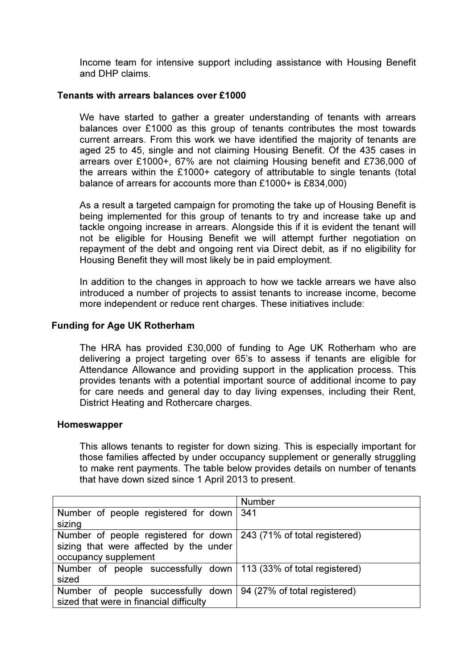Income team for intensive support including assistance with Housing Benefit and DHP claims.

#### Tenants with arrears balances over £1000

We have started to gather a greater understanding of tenants with arrears balances over £1000 as this group of tenants contributes the most towards current arrears. From this work we have identified the majority of tenants are aged 25 to 45, single and not claiming Housing Benefit. Of the 435 cases in arrears over £1000+, 67% are not claiming Housing benefit and £736,000 of the arrears within the £1000+ category of attributable to single tenants (total balance of arrears for accounts more than £1000+ is £834,000)

As a result a targeted campaign for promoting the take up of Housing Benefit is being implemented for this group of tenants to try and increase take up and tackle ongoing increase in arrears. Alongside this if it is evident the tenant will not be eligible for Housing Benefit we will attempt further negotiation on repayment of the debt and ongoing rent via Direct debit, as if no eligibility for Housing Benefit they will most likely be in paid employment.

In addition to the changes in approach to how we tackle arrears we have also introduced a number of projects to assist tenants to increase income, become more independent or reduce rent charges. These initiatives include:

#### Funding for Age UK Rotherham

The HRA has provided £30,000 of funding to Age UK Rotherham who are delivering a project targeting over 65's to assess if tenants are eligible for Attendance Allowance and providing support in the application process. This provides tenants with a potential important source of additional income to pay for care needs and general day to day living expenses, including their Rent, District Heating and Rothercare charges.

#### Homeswapper

This allows tenants to register for down sizing. This is especially important for those families affected by under occupancy supplement or generally struggling to make rent payments. The table below provides details on number of tenants that have down sized since 1 April 2013 to present.

|                                                                    | <b>Number</b>                |
|--------------------------------------------------------------------|------------------------------|
| Number of people registered for down                               | 341                          |
| sizing                                                             |                              |
| Number of people registered for down 243 (71% of total registered) |                              |
| sizing that were affected by the under                             |                              |
| occupancy supplement                                               |                              |
| Number of people successfully down   113 (33% of total registered) |                              |
| sized                                                              |                              |
| Number of people successfully down                                 | 94 (27% of total registered) |
| sized that were in financial difficulty                            |                              |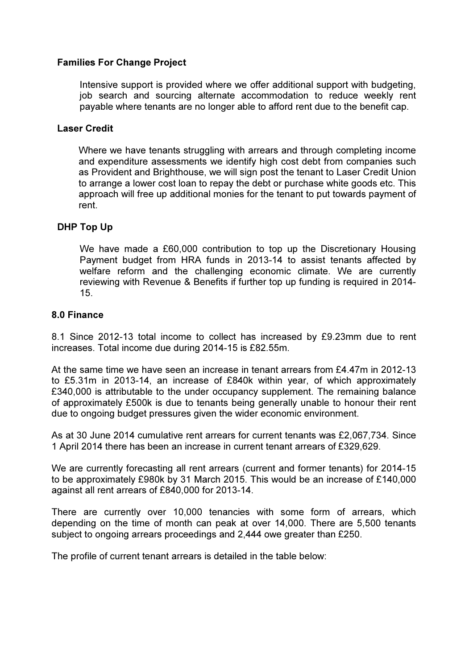## Families For Change Project

Intensive support is provided where we offer additional support with budgeting, job search and sourcing alternate accommodation to reduce weekly rent payable where tenants are no longer able to afford rent due to the benefit cap.

### Laser Credit

Where we have tenants struggling with arrears and through completing income and expenditure assessments we identify high cost debt from companies such as Provident and Brighthouse, we will sign post the tenant to Laser Credit Union to arrange a lower cost loan to repay the debt or purchase white goods etc. This approach will free up additional monies for the tenant to put towards payment of rent.

## DHP Top Up

We have made a £60,000 contribution to top up the Discretionary Housing Payment budget from HRA funds in 2013-14 to assist tenants affected by welfare reform and the challenging economic climate. We are currently reviewing with Revenue & Benefits if further top up funding is required in 2014- 15.

## 8.0 Finance

8.1 Since 2012-13 total income to collect has increased by £9.23mm due to rent increases. Total income due during 2014-15 is £82.55m.

At the same time we have seen an increase in tenant arrears from £4.47m in 2012-13 to £5.31m in 2013-14, an increase of £840k within year, of which approximately £340,000 is attributable to the under occupancy supplement. The remaining balance of approximately £500k is due to tenants being generally unable to honour their rent due to ongoing budget pressures given the wider economic environment.

As at 30 June 2014 cumulative rent arrears for current tenants was £2,067,734. Since 1 April 2014 there has been an increase in current tenant arrears of £329,629.

We are currently forecasting all rent arrears (current and former tenants) for 2014-15 to be approximately £980k by 31 March 2015. This would be an increase of £140,000 against all rent arrears of £840,000 for 2013-14.

There are currently over 10,000 tenancies with some form of arrears, which depending on the time of month can peak at over 14,000. There are 5,500 tenants subject to ongoing arrears proceedings and 2,444 owe greater than £250.

The profile of current tenant arrears is detailed in the table below: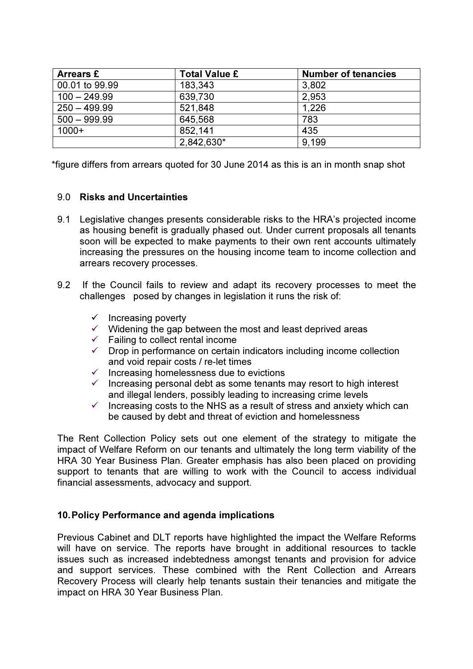| <b>Arrears £</b> | <b>Total Value £</b> | <b>Number of tenancies</b> |
|------------------|----------------------|----------------------------|
| 00.01 to 99.99   | 183,343              | 3,802                      |
| $100 - 249.99$   | 639,730              | 2,953                      |
| $250 - 499.99$   | 521,848              | 1.226                      |
| $500 - 999.99$   | 645,568              | 783                        |
| $1000+$          | 852,141              | 435                        |
|                  | 2,842,630*           | 9.199                      |

\*figure differs from arrears quoted for 30 June 2014 as this is an in month snap shot

## 9.0 Risks and Uncertainties

- 9.1 Legislative changes presents considerable risks to the HRA's projected income as housing benefit is gradually phased out. Under current proposals all tenants soon will be expected to make payments to their own rent accounts ultimately increasing the pressures on the housing income team to income collection and arrears recovery processes.
- 9.2 If the Council fails to review and adapt its recovery processes to meet the challenges posed by changes in legislation it runs the risk of:
	- $\checkmark$  Increasing poverty
	- $\checkmark$  Widening the gap between the most and least deprived areas
	- $\checkmark$  Failing to collect rental income
	- $\checkmark$  Drop in performance on certain indicators including income collection and void repair costs / re-let times
	- $\checkmark$  Increasing homelessness due to evictions
	- $\checkmark$  Increasing personal debt as some tenants may resort to high interest and illegal lenders, possibly leading to increasing crime levels
	- $\checkmark$  Increasing costs to the NHS as a result of stress and anxiety which can be caused by debt and threat of eviction and homelessness

The Rent Collection Policy sets out one element of the strategy to mitigate the impact of Welfare Reform on our tenants and ultimately the long term viability of the HRA 30 Year Business Plan. Greater emphasis has also been placed on providing support to tenants that are willing to work with the Council to access individual financial assessments, advocacy and support.

## 10. Policy Performance and agenda implications

Previous Cabinet and DLT reports have highlighted the impact the Welfare Reforms will have on service. The reports have brought in additional resources to tackle issues such as increased indebtedness amongst tenants and provision for advice and support services. These combined with the Rent Collection and Arrears Recovery Process will clearly help tenants sustain their tenancies and mitigate the impact on HRA 30 Year Business Plan.